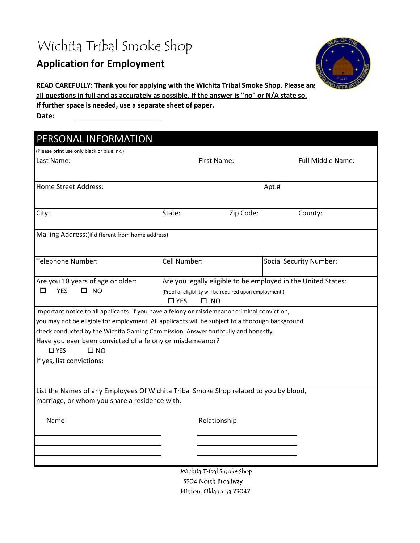# Wichita Tribal Smoke Shop

### **Application for Employment**



**READ CAREFULLY: Thank you for applying with the Wichita Tribal Smoke Shop. Please anstigate** 

**all questions in full and as accurately as possible. If the answer is "no" or N/A state so.**

**If further space is needed, use a separate sheet of paper.**

**Date:** 

| PERSONAL INFORMATION                                                                                                                                                                                                                                                                                                                                                                                           |                                                                                                                                                         |                                |  |
|----------------------------------------------------------------------------------------------------------------------------------------------------------------------------------------------------------------------------------------------------------------------------------------------------------------------------------------------------------------------------------------------------------------|---------------------------------------------------------------------------------------------------------------------------------------------------------|--------------------------------|--|
| (Please print use only black or blue ink.)<br>Last Name:                                                                                                                                                                                                                                                                                                                                                       | First Name:                                                                                                                                             | Full Middle Name:              |  |
|                                                                                                                                                                                                                                                                                                                                                                                                                |                                                                                                                                                         |                                |  |
| <b>Home Street Address:</b>                                                                                                                                                                                                                                                                                                                                                                                    |                                                                                                                                                         | Apt.#                          |  |
| City:                                                                                                                                                                                                                                                                                                                                                                                                          | Zip Code:<br>State:                                                                                                                                     | County:                        |  |
| Mailing Address: (If different from home address)                                                                                                                                                                                                                                                                                                                                                              |                                                                                                                                                         |                                |  |
| Telephone Number:                                                                                                                                                                                                                                                                                                                                                                                              | Cell Number:                                                                                                                                            | <b>Social Security Number:</b> |  |
| Are you 18 years of age or older:<br><b>YES</b><br>$\square$ NO<br>□                                                                                                                                                                                                                                                                                                                                           | Are you legally eligible to be employed in the United States:<br>(Proof of eligibility will be required upon employment.)<br>$\square$ YES<br>$\Box$ NO |                                |  |
| Important notice to all applicants. If you have a felony or misdemeanor criminal conviction,<br>you may not be eligible for employment. All applicants will be subject to a thorough background<br>check conducted by the Wichita Gaming Commission. Answer truthfully and honestly.<br>Have you ever been convicted of a felony or misdemeanor?<br>$\square$ YES<br>$\square$ NO<br>If yes, list convictions: |                                                                                                                                                         |                                |  |
| List the Names of any Employees Of Wichita Tribal Smoke Shop related to you by blood,<br>marriage, or whom you share a residence with.                                                                                                                                                                                                                                                                         |                                                                                                                                                         |                                |  |
| Name                                                                                                                                                                                                                                                                                                                                                                                                           | Relationship                                                                                                                                            |                                |  |
|                                                                                                                                                                                                                                                                                                                                                                                                                |                                                                                                                                                         |                                |  |
|                                                                                                                                                                                                                                                                                                                                                                                                                | Wichita Tribal Smoke Shop                                                                                                                               |                                |  |

5304 North Broadway Hinton, Oklahoma 73047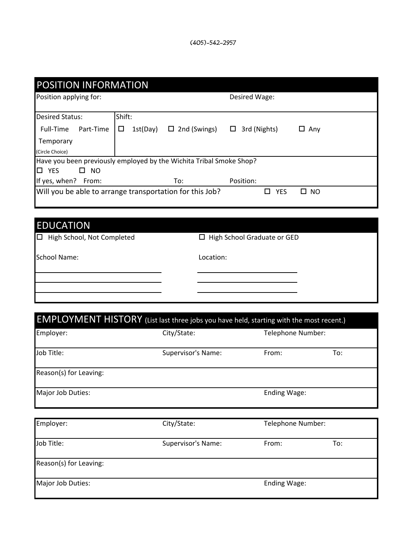| <b>POSITION INFORMATION</b>                                         |               |                     |                   |                |
|---------------------------------------------------------------------|---------------|---------------------|-------------------|----------------|
| Position applying for:                                              |               |                     | Desired Wage:     |                |
| <b>Desired Status:</b>                                              | Shift:        |                     |                   |                |
| Full-Time<br>Part-Time                                              | 1st(Day)<br>ப | $\Box$ 2nd (Swings) | 3rd (Nights)<br>ш | Any<br>ப       |
| Temporary                                                           |               |                     |                   |                |
| (Circle Choice)                                                     |               |                     |                   |                |
| Have you been previously employed by the Wichita Tribal Smoke Shop? |               |                     |                   |                |
| 10.<br><b>YES</b><br><b>NO</b><br>п                                 |               |                     |                   |                |
| If yes, when?<br>From:                                              |               | To:                 | Position:         |                |
| Will you be able to arrange transportation for this Job?            |               |                     | <b>YES</b>        | <b>NO</b><br>П |
|                                                                     |               |                     |                   |                |

#### EDUCATION

d **D** High School Graduate or GED

School Name: Location:

## EMPLOYMENT HISTORY (List last three jobs you have held, starting with the most recent.)

| Employer:              | City/State:        | Telephone Number: |     |
|------------------------|--------------------|-------------------|-----|
| Job Title:             | Supervisor's Name: | From:             | To: |
| Reason(s) for Leaving: |                    |                   |     |
| Major Job Duties:      |                    | Ending Wage:      |     |

| Employer:              | City/State:        | Telephone Number: |     |
|------------------------|--------------------|-------------------|-----|
| Job Title:             | Supervisor's Name: | From:             | To: |
| Reason(s) for Leaving: |                    |                   |     |
| Major Job Duties:      |                    | Ending Wage:      |     |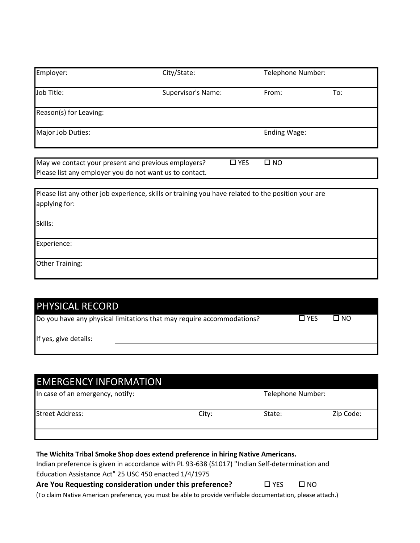| Employer:              | City/State:        | Telephone Number: |     |
|------------------------|--------------------|-------------------|-----|
| Job Title:             | Supervisor's Name: | From:             | To: |
| Reason(s) for Leaving: |                    |                   |     |
| Major Job Duties:      |                    | Ending Wage:      |     |

| May we contact your present and previous employers?     | $\Box$ YES | $\Box$ NO |  |
|---------------------------------------------------------|------------|-----------|--|
| Please list any employer you do not want us to contact. |            |           |  |

| Please list any other job experience, skills or training you have related to the position your are<br>applying for: |
|---------------------------------------------------------------------------------------------------------------------|
| Skills:                                                                                                             |
| Experience:                                                                                                         |
| Other Training:                                                                                                     |

| <b>PHYSICAL RECORD</b>                                                |            |      |  |
|-----------------------------------------------------------------------|------------|------|--|
| Do you have any physical limitations that may require accommodations? | $\Box$ YFS | □ NO |  |
| If yes, give details:                                                 |            |      |  |
|                                                                       |            |      |  |

| <b>EMERGENCY INFORMATION</b><br>In case of an emergency, notify:                 |       | Telephone Number: |           |
|----------------------------------------------------------------------------------|-------|-------------------|-----------|
| <b>Street Address:</b>                                                           | City: | State:            | Zip Code: |
| The Wichita Tribal Smoke Shop does extend preference in hiring Native Americans. |       |                   |           |

Indian preference is given in accordance with PL 93-638 (S1017) "Indian Self-determination and Education Assistance Act" 25 USC 450 enacted 1/4/1975

#### **Are You Requesting consideration under this preference?** □ YES □ NO

(To claim Native American preference, you must be able to provide verifiable documentation, please attach.)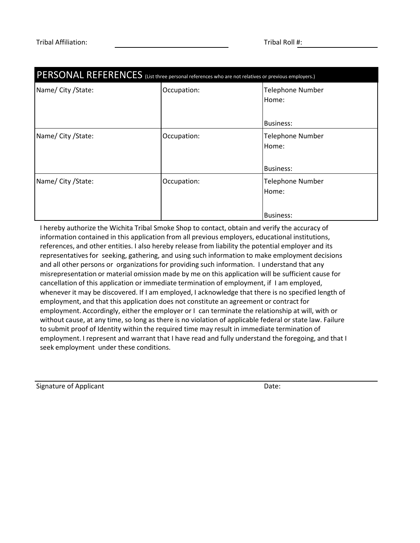| PERSONAL REFERENCES (List three personal references who are not relatives or previous employers.) |             |                                                      |  |
|---------------------------------------------------------------------------------------------------|-------------|------------------------------------------------------|--|
| Name/ City / State:                                                                               | Occupation: | <b>Telephone Number</b><br>Home:<br><b>Business:</b> |  |
| Name/ City / State:                                                                               | Occupation: | <b>Telephone Number</b><br>Home:<br><b>Business:</b> |  |
| Name/ City / State:                                                                               | Occupation: | <b>Telephone Number</b><br>Home:<br><b>Business:</b> |  |

I hereby authorize the Wichita Tribal Smoke Shop to contact, obtain and verify the accuracy of information contained in this application from all previous employers, educational institutions, references, and other entities. I also hereby release from liability the potential employer and its representatives for seeking, gathering, and using such information to make employment decisions and all other persons or organizations for providing such information. I understand that any misrepresentation or material omission made by me on this application will be sufficient cause for cancellation of this application or immediate termination of employment, if I am employed, whenever it may be discovered. If I am employed, I acknowledge that there is no specified length of employment, and that this application does not constitute an agreement or contract for employment. Accordingly, either the employer or I can terminate the relationship at will, with or without cause, at any time, so long as there is no violation of applicable federal or state law. Failure to submit proof of Identity within the required time may result in immediate termination of employment. I represent and warrant that I have read and fully understand the foregoing, and that I seek employment under these conditions.

Signature of Applicant Date: